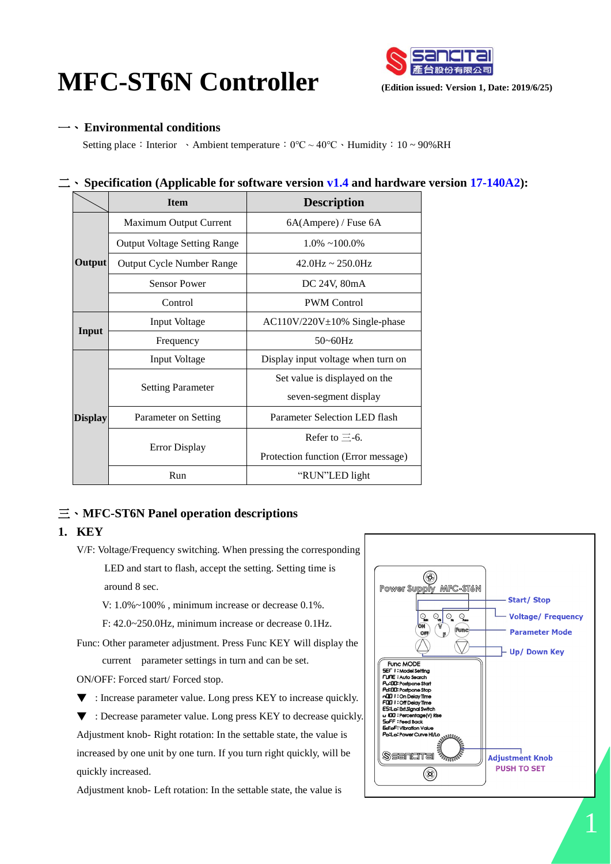# **MFC-ST6N Controller Controller Controller Controller Partition issued: Version 1, Date: 2019/6/25**)



一、 **Environmental conditions**

Setting place: Interior 、Ambient temperature:  $0^{\circ}$ C ~ 40°C 、Humidity: 10 ~ 90%RH

## 二、 **Specification (Applicable for software version v1.4 and hardware version 17-140A2):**

|                | <b>Item</b>                         | <b>Description</b>                  |  |
|----------------|-------------------------------------|-------------------------------------|--|
|                | Maximum Output Current              | 6A(Ampere) / Fuse 6A                |  |
| Output         | <b>Output Voltage Setting Range</b> | $1.0\% \sim 100.0\%$                |  |
|                | <b>Output Cycle Number Range</b>    | $42.0$ Hz ~ $250.0$ Hz              |  |
|                | <b>Sensor Power</b>                 | DC 24V, 80mA                        |  |
|                | Control                             | <b>PWM</b> Control                  |  |
| Input          | <b>Input Voltage</b>                | $AC110V/220V \pm 10\%$ Single-phase |  |
|                | Frequency                           | $50 - 60$ Hz                        |  |
| <b>Display</b> | Input Voltage                       | Display input voltage when turn on  |  |
|                | <b>Setting Parameter</b>            | Set value is displayed on the       |  |
|                |                                     | seven-segment display               |  |
|                | Parameter on Setting                | Parameter Selection LED flash       |  |
|                |                                     | Refer to $\equiv$ -6.               |  |
|                | <b>Error Display</b>                | Protection function (Error message) |  |
|                | Run                                 | "RUN"LED light                      |  |

# 三、 **MFC-ST6N Panel operation descriptions**

## **1. KEY**

V/F: Voltage/Frequency switching. When pressing the corresponding

 LED and start to flash, accept the setting. Setting time is around 8 sec.

V: 1.0%~100% , minimum increase or decrease 0.1%.

F: 42.0~250.0Hz, minimum increase or decrease 0.1Hz.

Func: Other parameter adjustment. Press Func KEY will display the current parameter settings in turn and can be set.

ON/OFF: Forced start/ Forced stop.

▼ : Increase parameter value. Long press KEY to increase quickly.

▼ : Decrease parameter value. Long press KEY to decrease quickly. Adjustment knob- Right rotation: In the settable state, the value is increased by one unit by one turn. If you turn right quickly, will be quickly increased.

Adjustment knob- Left rotation: In the settable state, the value is

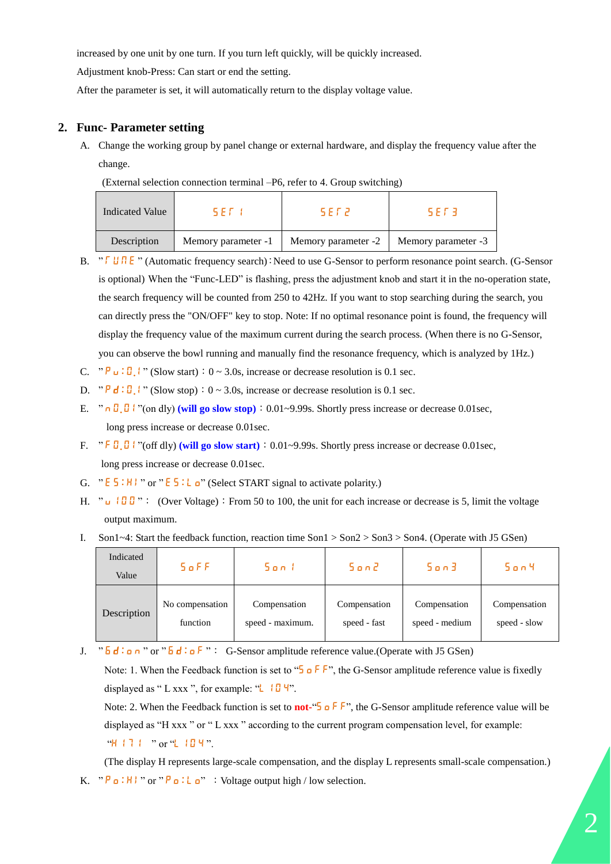increased by one unit by one turn. If you turn left quickly, will be quickly increased.

Adjustment knob-Press: Can start or end the setting.

After the parameter is set, it will automatically return to the display voltage value.

#### **2. Func- Parameter setting**

A. Change the working group by panel change or external hardware, and display the frequency value after the change.

| Indicated Value | 5 E F. J            | 5 E F 2             | 5 F F 3             |
|-----------------|---------------------|---------------------|---------------------|
| Description     | Memory parameter -1 | Memory parameter -2 | Memory parameter -3 |

- B. " T U N E " (Automatic frequency search): Need to use G-Sensor to perform resonance point search. (G-Sensor is optional) When the "Func-LED" is flashing, press the adjustment knob and start it in the no-operation state, the search frequency will be counted from 250 to 42Hz. If you want to stop searching during the search, you can directly press the "ON/OFF" key to stop. Note: If no optimal resonance point is found, the frequency will display the frequency value of the maximum current during the search process. (When there is no G-Sensor, you can observe the bowl running and manually find the resonance frequency, which is analyzed by 1Hz.)
- C.  $\mathbb{P} \cup \{ \mathbb{P} \cup \{ \mathbb{P} \mid \text{ (Slow start)} : 0 \sim 3.0 \text{s, increase or decrease resolution is 0.1 sec.} \}$
- D. " $P d : D \rightarrow$  (Slow stop):  $0 \sim 3.0$ s, increase or decrease resolution is 0.1 sec.
- E. "  $\theta$ ,  $\theta$  i "(on dly) (will go slow stop) : 0.01~9.99s. Shortly press increase or decrease 0.01sec, long press increase or decrease 0.01sec.
- F. "  $\overline{F}$   $\overline{G}$   $\overline{G}$   $\overline{F}$  "(off dly) (will go slow start) : 0.01~9.99s. Shortly press increase or decrease 0.01sec, long press increase or decrease 0.01sec.
- G. "  $E_5$ : H l " or "  $E_5$ : L  $\alpha$ " (Select START signal to activate polarity.)
- H. " u  $100$  ": (Over Voltage): From 50 to 100, the unit for each increase or decrease is 5, limit the voltage output maximum.
- I. Son1~4: Start the feedback function, reaction time Son1 > Son2 > Son3 > Son4. (Operate with J5 GSen)

| Indicated<br>Value | 5 of F          | Son I            | 50nZ         | Son3           | 50n4         |
|--------------------|-----------------|------------------|--------------|----------------|--------------|
| Description        | No compensation | Compensation     | Compensation | Compensation   | Compensation |
|                    | function        | speed - maximum. | speed - fast | speed - medium | speed - slow |

J.  $\overline{b}$   $\overline{d}$  :  $\overline{a}$  n  $\overline{c}$  or  $\overline{b}$   $\overline{d}$  :  $\overline{a}$   $\overline{f}$   $\overline{c}$  : G-Sensor amplitude reference value.(Operate with J5 GSen)

Note: 1. When the Feedback function is set to "S o F F", the G-Sensor amplitude reference value is fixedly displayed as " L xxx ", for example: " $\Box$   $\Pi$ ".

Note: 2. When the Feedback function is set to **not-**"S o F F", the G-Sensor amplitude reference value will be displayed as "H xxx " or " L xxx " according to the current program compensation level, for example: "H 17 1 " or "L 10 4".

(The display H represents large-scale compensation, and the display L represents small-scale compensation.) K.  $P_{\text{a}}:H$   $P_{\text{c}}:H$  or  $P_{\text{a}}:L_{\text{a}}$  : Voltage output high / low selection.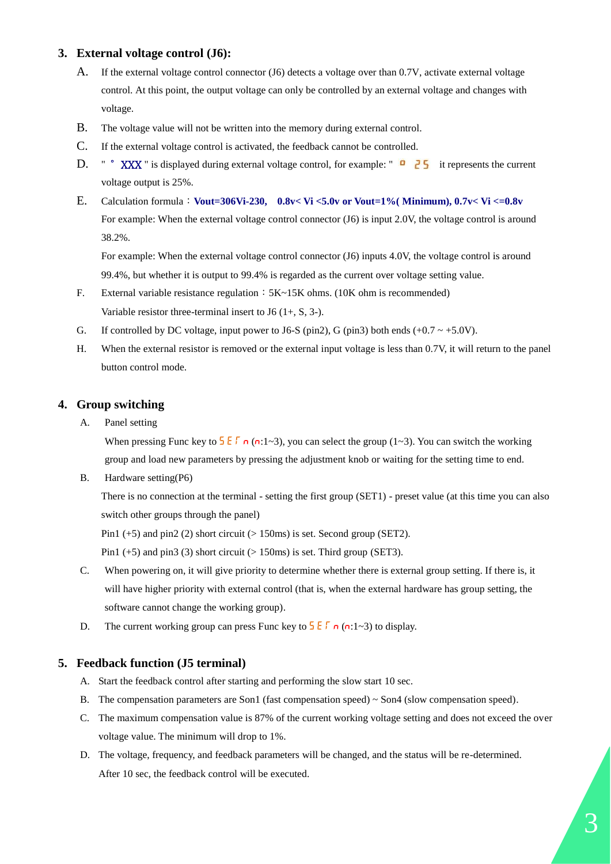#### **3. External voltage control (J6):**

- A. If the external voltage control connector (J6) detects a voltage over than 0.7V, activate external voltage control. At this point, the output voltage can only be controlled by an external voltage and changes with voltage.
- B. The voltage value will not be written into the memory during external control.
- C. If the external voltage control is activated, the feedback cannot be controlled.
- D. " ° XXX " is displayed during external voltage control, for example: " **0 25** it represents the current voltage output is 25%.
- E. Calculation formula:**Vout=306Vi-230, 0.8v< Vi <5.0v or Vout=1%( Minimum), 0.7v< Vi <=0.8v** For example: When the external voltage control connector (J6) is input 2.0V, the voltage control is around 38.2%.

For example: When the external voltage control connector (J6) inputs 4.0V, the voltage control is around 99.4%, but whether it is output to 99.4% is regarded as the current over voltage setting value.

- F. External variable resistance regulation:  $5K~15K$  ohms. (10K ohm is recommended) Variable resistor three-terminal insert to J6  $(1+, S, 3-)$ .
- G. If controlled by DC voltage, input power to J6-S (pin2), G (pin3) both ends  $(+0.7 \sim +5.0V)$ .
- H. When the external resistor is removed or the external input voltage is less than 0.7V, it will return to the panel button control mode.

#### **4. Group switching**

A. Panel setting

When pressing Func key to  $\frac{1}{2} \mathsf{E} \Gamma$  n (n:1~3), you can select the group (1~3). You can switch the working group and load new parameters by pressing the adjustment knob or waiting for the setting time to end.

B. Hardware setting(P6)

There is no connection at the terminal - setting the first group (SET1) - preset value (at this time you can also switch other groups through the panel)

Pin1  $(+5)$  and pin2  $(2)$  short circuit  $(> 150 \text{ms})$  is set. Second group (SET2).

Pin1  $(+5)$  and pin3  $(3)$  short circuit  $(> 150 \text{ms})$  is set. Third group (SET3).

- C. When powering on, it will give priority to determine whether there is external group setting. If there is, it will have higher priority with external control (that is, when the external hardware has group setting, the software cannot change the working group).
- D. The current working group can press Func key to  $\frac{1}{2}E\int \frac{1}{2}$  ( $\sigma$ : 1~3) to display.

#### **5. Feedback function (J5 terminal)**

- A. Start the feedback control after starting and performing the slow start 10 sec.
- B. The compensation parameters are Son1 (fast compensation speed) ~ Son4 (slow compensation speed).
- C. The maximum compensation value is 87% of the current working voltage setting and does not exceed the over voltage value. The minimum will drop to 1%.
- D. The voltage, frequency, and feedback parameters will be changed, and the status will be re-determined. After 10 sec, the feedback control will be executed.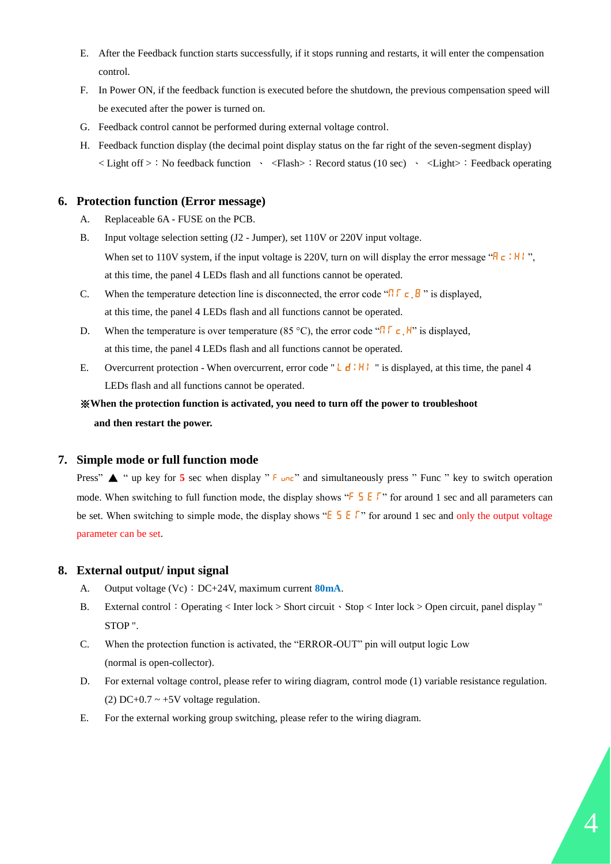- E. After the Feedback function starts successfully, if it stops running and restarts, it will enter the compensation control.
- F. In Power ON, if the feedback function is executed before the shutdown, the previous compensation speed will be executed after the power is turned on.
- G. Feedback control cannot be performed during external voltage control.
- H. Feedback function display (the decimal point display status on the far right of the seven-segment display) < Light of f >: No feedback function \ <Flash> : Record status (10 sec) \ <Light> : Feedback operating

#### **6. Protection function (Error message)**

- A. Replaceable 6A FUSE on the PCB.
- B. Input voltage selection setting (J2 Jumper), set 110V or 220V input voltage. When set to 110V system, if the input voltage is 220V, turn on will display the error message " $R_c$ : H l", at this time, the panel 4 LEDs flash and all functions cannot be operated.
- C. When the temperature detection line is disconnected, the error code " $\iint \mathbf{r} \cdot \mathbf{B}$ " is displayed, at this time, the panel 4 LEDs flash and all functions cannot be operated.
- D. When the temperature is over temperature (85 °C), the error code " $\Pi \Gamma \subset H$ " is displayed, at this time, the panel 4 LEDs flash and all functions cannot be operated.
- E. Overcurrent protection When overcurrent, error code " L  $\mathbf{d} : \mathbf{H}$  " is displayed, at this time, the panel 4 LEDs flash and all functions cannot be operated.

# ※**When the protection function is activated, you need to turn off the power to troubleshoot and then restart the power.**

## **7. Simple mode or full function mode**

Press" ▲ " up key for **5** sec when display " F unc" and simultaneously press " Func " key to switch operation mode. When switching to full function mode, the display shows " $\frac{1}{5}$   $\frac{1}{5}$   $\frac{1}{5}$ " for around 1 sec and all parameters can be set. When switching to simple mode, the display shows " $E$   $\overline{5}$   $\overline{E}$   $\overline{5}$ " for around 1 sec and only the output voltage parameter can be set.

#### **8. External output/ input signal**

- A. Output voltage (Vc): DC+24V, maximum current **80mA**.
- B. External control:Operating < Inter lock > Short circuit、Stop < Inter lock > Open circuit, panel display " STOP ".
- C. When the protection function is activated, the "ERROR-OUT" pin will output logic Low (normal is open-collector).
- D. For external voltage control, please refer to wiring diagram, control mode (1) variable resistance regulation. (2) DC+0.7  $\sim$  +5V voltage regulation.
- E. For the external working group switching, please refer to the wiring diagram.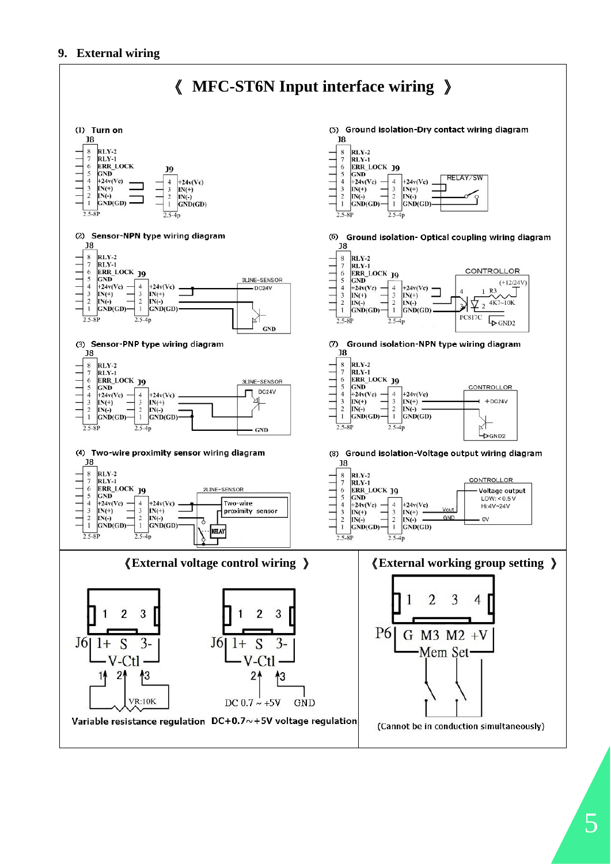